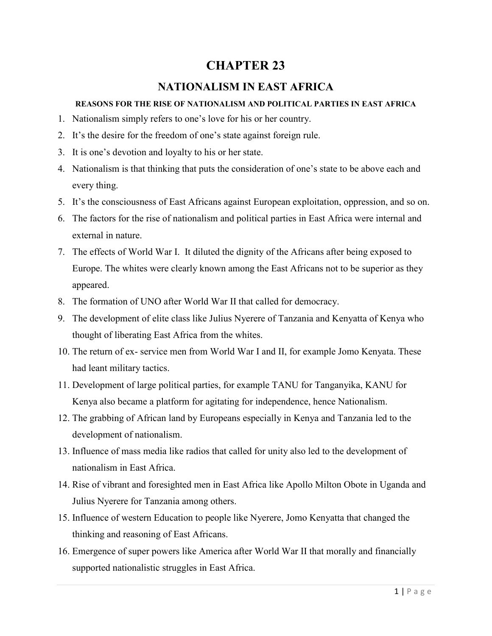# **CHAPTER 23**

# **NATIONALISM IN EAST AFRICA**

### **REASONS FOR THE RISE OF NATIONALISM AND POLITICAL PARTIES IN EAST AFRICA**

- 1. Nationalism simply refers to one's love for his or her country.
- 2. It's the desire for the freedom of one's state against foreign rule.
- 3. It is one's devotion and loyalty to his or her state.
- 4. Nationalism is that thinking that puts the consideration of one's state to be above each and every thing.
- 5. It's the consciousness of East Africans against European exploitation, oppression, and so on.
- 6. The factors for the rise of nationalism and political parties in East Africa were internal and external in nature.
- 7. The effects of World War I. It diluted the dignity of the Africans after being exposed to Europe. The whites were clearly known among the East Africans not to be superior as they appeared.
- 8. The formation of UNO after World War II that called for democracy.
- 9. The development of elite class like Julius Nyerere of Tanzania and Kenyatta of Kenya who thought of liberating East Africa from the whites.
- 10. The return of ex- service men from World War I and II, for example Jomo Kenyata. These had leant military tactics.
- 11. Development of large political parties, for example TANU for Tanganyika, KANU for Kenya also became a platform for agitating for independence, hence Nationalism.
- 12. The grabbing of African land by Europeans especially in Kenya and Tanzania led to the development of nationalism.
- 13. Influence of mass media like radios that called for unity also led to the development of nationalism in East Africa.
- 14. Rise of vibrant and foresighted men in East Africa like Apollo Milton Obote in Uganda and Julius Nyerere for Tanzania among others.
- 15. Influence of western Education to people like Nyerere, Jomo Kenyatta that changed the thinking and reasoning of East Africans.
- 16. Emergence of super powers like America after World War II that morally and financially supported nationalistic struggles in East Africa.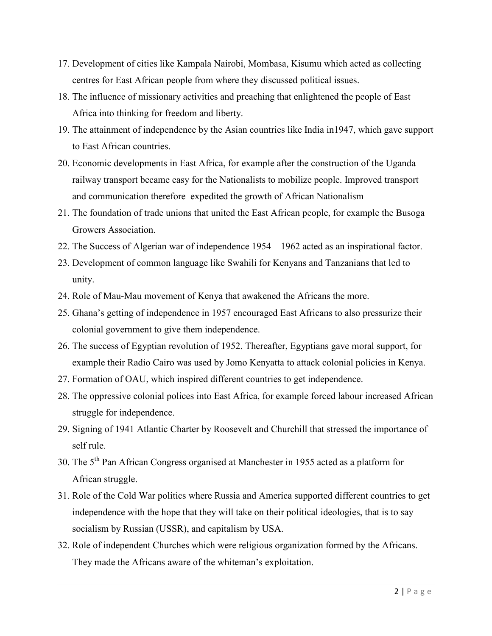- 17. Development of cities like Kampala Nairobi, Mombasa, Kisumu which acted as collecting centres for East African people from where they discussed political issues.
- 18. The influence of missionary activities and preaching that enlightened the people of East Africa into thinking for freedom and liberty.
- 19. The attainment of independence by the Asian countries like India in1947, which gave support to East African countries.
- 20. Economic developments in East Africa, for example after the construction of the Uganda railway transport became easy for the Nationalists to mobilize people. Improved transport and communication therefore expedited the growth of African Nationalism
- 21. The foundation of trade unions that united the East African people, for example the Busoga Growers Association.
- 22. The Success of Algerian war of independence 1954 1962 acted as an inspirational factor.
- 23. Development of common language like Swahili for Kenyans and Tanzanians that led to unity.
- 24. Role of Mau-Mau movement of Kenya that awakened the Africans the more.
- 25. Ghana's getting of independence in 1957 encouraged East Africans to also pressurize their colonial government to give them independence.
- 26. The success of Egyptian revolution of 1952. Thereafter, Egyptians gave moral support, for example their Radio Cairo was used by Jomo Kenyatta to attack colonial policies in Kenya.
- 27. Formation of OAU, which inspired different countries to get independence.
- 28. The oppressive colonial polices into East Africa, for example forced labour increased African struggle for independence.
- 29. Signing of 1941 Atlantic Charter by Roosevelt and Churchill that stressed the importance of self rule.
- 30. The 5th Pan African Congress organised at Manchester in 1955 acted as a platform for African struggle.
- 31. Role of the Cold War politics where Russia and America supported different countries to get independence with the hope that they will take on their political ideologies, that is to say socialism by Russian (USSR), and capitalism by USA.
- 32. Role of independent Churches which were religious organization formed by the Africans. They made the Africans aware of the whiteman's exploitation.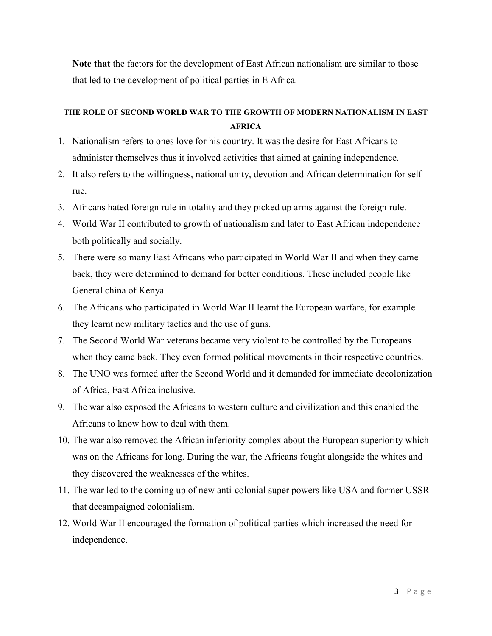**Note that** the factors for the development of East African nationalism are similar to those that led to the development of political parties in E Africa.

### **THE ROLE OF SECOND WORLD WAR TO THE GROWTH OF MODERN NATIONALISM IN EAST AFRICA**

- 1. Nationalism refers to ones love for his country. It was the desire for East Africans to administer themselves thus it involved activities that aimed at gaining independence.
- 2. It also refers to the willingness, national unity, devotion and African determination for self rue.
- 3. Africans hated foreign rule in totality and they picked up arms against the foreign rule.
- 4. World War II contributed to growth of nationalism and later to East African independence both politically and socially.
- 5. There were so many East Africans who participated in World War II and when they came back, they were determined to demand for better conditions. These included people like General china of Kenya.
- 6. The Africans who participated in World War II learnt the European warfare, for example they learnt new military tactics and the use of guns.
- 7. The Second World War veterans became very violent to be controlled by the Europeans when they came back. They even formed political movements in their respective countries.
- 8. The UNO was formed after the Second World and it demanded for immediate decolonization of Africa, East Africa inclusive.
- 9. The war also exposed the Africans to western culture and civilization and this enabled the Africans to know how to deal with them.
- 10. The war also removed the African inferiority complex about the European superiority which was on the Africans for long. During the war, the Africans fought alongside the whites and they discovered the weaknesses of the whites.
- 11. The war led to the coming up of new anti-colonial super powers like USA and former USSR that decampaigned colonialism.
- 12. World War II encouraged the formation of political parties which increased the need for independence.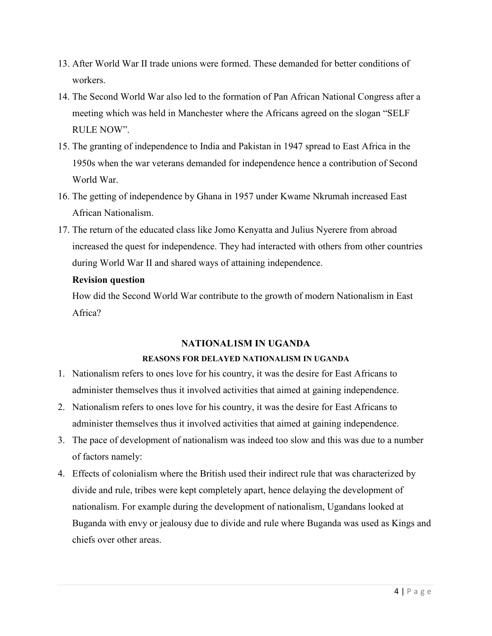- 13. After World War II trade unions were formed. These demanded for better conditions of workers.
- 14. The Second World War also led to the formation of Pan African National Congress after a meeting which was held in Manchester where the Africans agreed on the slogan "SELF RULE NOW".
- 15. The granting of independence to India and Pakistan in 1947 spread to East Africa in the 1950s when the war veterans demanded for independence hence a contribution of Second World War.
- 16. The getting of independence by Ghana in 1957 under Kwame Nkrumah increased East African Nationalism.
- 17. The return of the educated class like Jomo Kenyatta and Julius Nyerere from abroad increased the quest for independence. They had interacted with others from other countries during World War II and shared ways of attaining independence.

### **Revision question**

How did the Second World War contribute to the growth of modern Nationalism in East Africa?

#### **NATIONAL1SM IN UGANDA**

### **REASONS FOR DELAYED NATIONALISM IN UGANDA**

- 1. Nationalism refers to ones love for his country, it was the desire for East Africans to administer themselves thus it involved activities that aimed at gaining independence.
- 2. Nationalism refers to ones love for his country, it was the desire for East Africans to administer themselves thus it involved activities that aimed at gaining independence.
- 3. The pace of development of nationalism was indeed too slow and this was due to a number of factors namely:
- 4. Effects of colonialism where the British used their indirect rule that was characterized by divide and rule, tribes were kept completely apart, hence delaying the development of nationalism. For example during the development of nationalism, Ugandans looked at Buganda with envy or jealousy due to divide and rule where Buganda was used as Kings and chiefs over other areas.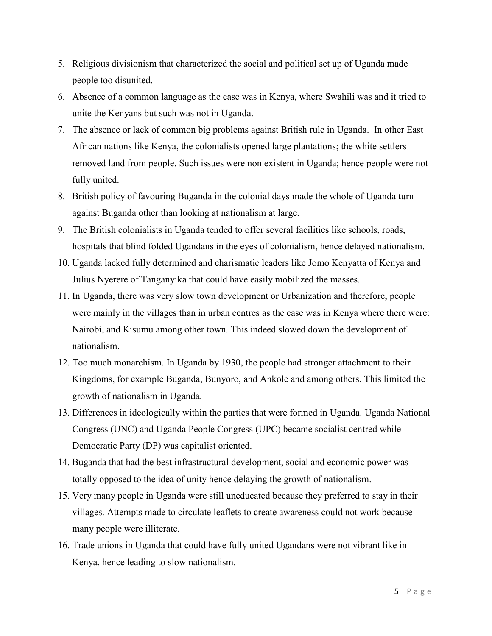- 5. Religious divisionism that characterized the social and political set up of Uganda made people too disunited.
- 6. Absence of a common language as the case was in Kenya, where Swahili was and it tried to unite the Kenyans but such was not in Uganda.
- 7. The absence or lack of common big problems against British rule in Uganda. In other East African nations like Kenya, the colonialists opened large plantations; the white settlers removed land from people. Such issues were non existent in Uganda; hence people were not fully united.
- 8. British policy of favouring Buganda in the colonial days made the whole of Uganda turn against Buganda other than looking at nationalism at large.
- 9. The British colonialists in Uganda tended to offer several facilities like schools, roads, hospitals that blind folded Ugandans in the eyes of colonialism, hence delayed nationalism.
- 10. Uganda lacked fully determined and charismatic leaders like Jomo Kenyatta of Kenya and Julius Nyerere of Tanganyika that could have easily mobilized the masses.
- 11. In Uganda, there was very slow town development or Urbanization and therefore, people were mainly in the villages than in urban centres as the case was in Kenya where there were: Nairobi, and Kisumu among other town. This indeed slowed down the development of nationalism.
- 12. Too much monarchism. In Uganda by 1930, the people had stronger attachment to their Kingdoms, for example Buganda, Bunyoro, and Ankole and among others. This limited the growth of nationalism in Uganda.
- 13. Differences in ideologically within the parties that were formed in Uganda. Uganda National Congress (UNC) and Uganda People Congress (UPC) became socialist centred while Democratic Party (DP) was capitalist oriented.
- 14. Buganda that had the best infrastructural development, social and economic power was totally opposed to the idea of unity hence delaying the growth of nationalism.
- 15. Very many people in Uganda were still uneducated because they preferred to stay in their villages. Attempts made to circulate leaflets to create awareness could not work because many people were illiterate.
- 16. Trade unions in Uganda that could have fully united Ugandans were not vibrant like in Kenya, hence leading to slow nationalism.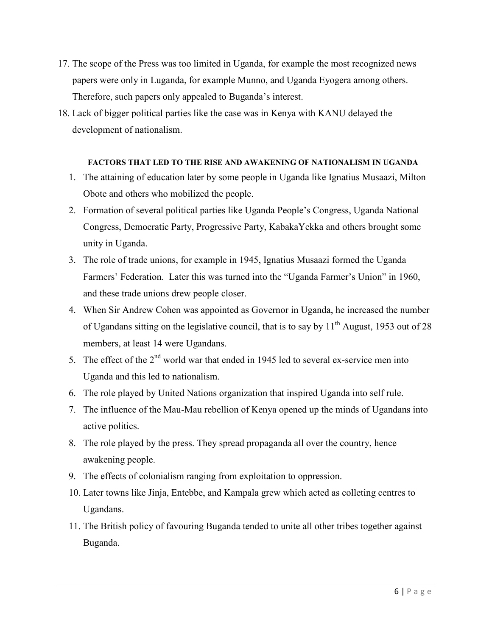- 17. The scope of the Press was too limited in Uganda, for example the most recognized news papers were only in Luganda, for example Munno, and Uganda Eyogera among others. Therefore, such papers only appealed to Buganda's interest.
- 18. Lack of bigger political parties like the case was in Kenya with KANU delayed the development of nationalism.

#### **FACTORS THAT LED TO THE RISE AND AWAKENING OF NATIONALISM IN UGANDA**

- 1. The attaining of education later by some people in Uganda like Ignatius Musaazi, Milton Obote and others who mobilized the people.
- 2. Formation of several political parties like Uganda People's Congress, Uganda National Congress, Democratic Party, Progressive Party, KabakaYekka and others brought some unity in Uganda.
- 3. The role of trade unions, for example in 1945, Ignatius Musaazi formed the Uganda Farmers' Federation. Later this was turned into the "Uganda Farmer's Union" in 1960, and these trade unions drew people closer.
- 4. When Sir Andrew Cohen was appointed as Governor in Uganda, he increased the number of Ugandans sitting on the legislative council, that is to say by  $11<sup>th</sup>$  August, 1953 out of 28 members, at least 14 were Ugandans.
- 5. The effect of the  $2<sup>nd</sup>$  world war that ended in 1945 led to several ex-service men into Uganda and this led to nationalism.
- 6. The role played by United Nations organization that inspired Uganda into self rule.
- 7. The influence of the Mau-Mau rebellion of Kenya opened up the minds of Ugandans into active politics.
- 8. The role played by the press. They spread propaganda all over the country, hence awakening people.
- 9. The effects of colonialism ranging from exploitation to oppression.
- 10. Later towns like Jinja, Entebbe, and Kampala grew which acted as colleting centres to Ugandans.
- 11. The British policy of favouring Buganda tended to unite all other tribes together against Buganda.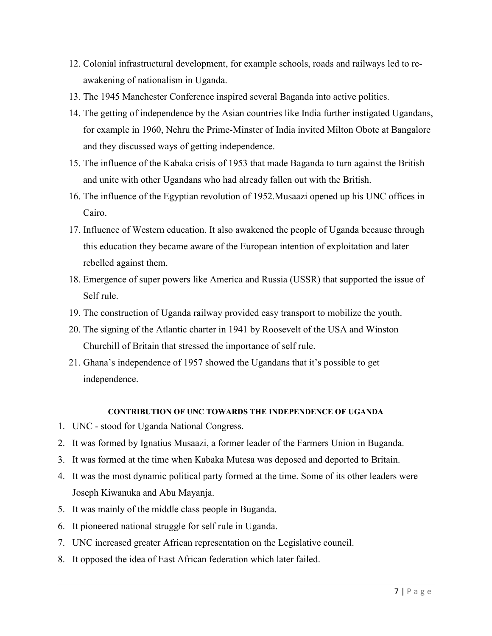- 12. Colonial infrastructural development, for example schools, roads and railways led to reawakening of nationalism in Uganda.
- 13. The 1945 Manchester Conference inspired several Baganda into active politics.
- 14. The getting of independence by the Asian countries like India further instigated Ugandans, for example in 1960, Nehru the Prime-Minster of India invited Milton Obote at Bangalore and they discussed ways of getting independence.
- 15. The influence of the Kabaka crisis of 1953 that made Baganda to turn against the British and unite with other Ugandans who had already fallen out with the British.
- 16. The influence of the Egyptian revolution of 1952.Musaazi opened up his UNC offices in Cairo.
- 17. Influence of Western education. It also awakened the people of Uganda because through this education they became aware of the European intention of exploitation and later rebelled against them.
- 18. Emergence of super powers like America and Russia (USSR) that supported the issue of Self rule.
- 19. The construction of Uganda railway provided easy transport to mobilize the youth.
- 20. The signing of the Atlantic charter in 1941 by Roosevelt of the USA and Winston Churchill of Britain that stressed the importance of self rule.
- 21. Ghana's independence of 1957 showed the Ugandans that it's possible to get independence.

#### **CONTRIBUTION OF UNC TOWARDS THE INDEPENDENCE OF UGANDA**

- 1. UNC stood for Uganda National Congress.
- 2. It was formed by Ignatius Musaazi, a former leader of the Farmers Union in Buganda.
- 3. It was formed at the time when Kabaka Mutesa was deposed and deported to Britain.
- 4. It was the most dynamic political party formed at the time. Some of its other leaders were Joseph Kiwanuka and Abu Mayanja.
- 5. It was mainly of the middle class people in Buganda.
- 6. It pioneered national struggle for self rule in Uganda.
- 7. UNC increased greater African representation on the Legislative council.
- 8. It opposed the idea of East African federation which later failed.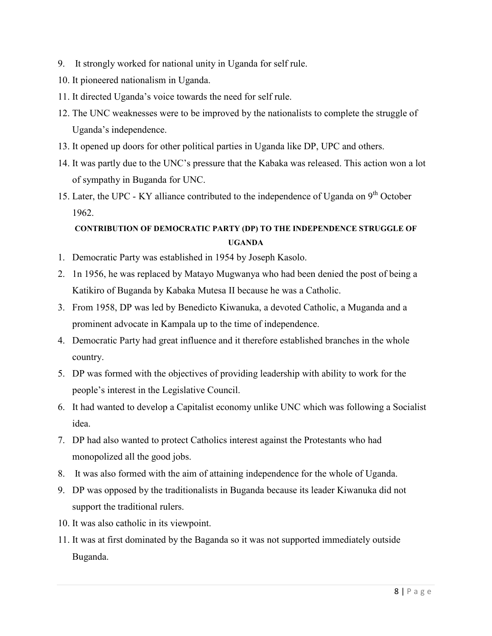- 9. It strongly worked for national unity in Uganda for self rule.
- 10. It pioneered nationalism in Uganda.
- 11. It directed Uganda's voice towards the need for self rule.
- 12. The UNC weaknesses were to be improved by the nationalists to complete the struggle of Uganda's independence.
- 13. It opened up doors for other political parties in Uganda like DP, UPC and others.
- 14. It was partly due to the UNC's pressure that the Kabaka was released. This action won a lot of sympathy in Buganda for UNC.
- 15. Later, the UPC KY alliance contributed to the independence of Uganda on  $9<sup>th</sup>$  October 1962.

# **CONTRIBUTION OF DEMOCRATIC PARTY (DP) TO THE INDEPENDENCE STRUGGLE OF UGANDA**

- 1. Democratic Party was established in 1954 by Joseph Kasolo.
- 2. 1n 1956, he was replaced by Matayo Mugwanya who had been denied the post of being a Katikiro of Buganda by Kabaka Mutesa II because he was a Catholic.
- 3. From 1958, DP was led by Benedicto Kiwanuka, a devoted Catholic, a Muganda and a prominent advocate in Kampala up to the time of independence.
- 4. Democratic Party had great influence and it therefore established branches in the whole country.
- 5. DP was formed with the objectives of providing leadership with ability to work for the people's interest in the Legislative Council.
- 6. It had wanted to develop a Capitalist economy unlike UNC which was following a Socialist idea.
- 7. DP had also wanted to protect Catholics interest against the Protestants who had monopolized all the good jobs.
- 8. It was also formed with the aim of attaining independence for the whole of Uganda.
- 9. DP was opposed by the traditionalists in Buganda because its leader Kiwanuka did not support the traditional rulers.
- 10. It was also catholic in its viewpoint.
- 11. It was at first dominated by the Baganda so it was not supported immediately outside Buganda.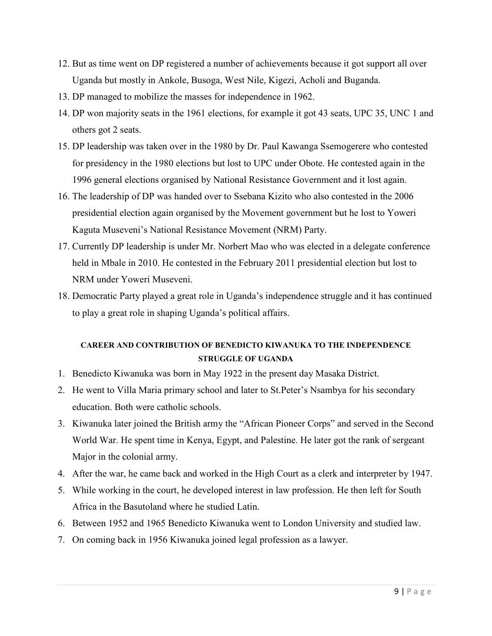- 12. But as time went on DP registered a number of achievements because it got support all over Uganda but mostly in Ankole, Busoga, West Nile, Kigezi, Acholi and Buganda.
- 13. DP managed to mobilize the masses for independence in 1962.
- 14. DP won majority seats in the 1961 elections, for example it got 43 seats, UPC 35, UNC 1 and others got 2 seats.
- 15. DP leadership was taken over in the 1980 by Dr. Paul Kawanga Ssemogerere who contested for presidency in the 1980 elections but lost to UPC under Obote. He contested again in the 1996 general elections organised by National Resistance Government and it lost again.
- 16. The leadership of DP was handed over to Ssebana Kizito who also contested in the 2006 presidential election again organised by the Movement government but he lost to Yoweri Kaguta Museveni's National Resistance Movement (NRM) Party.
- 17. Currently DP leadership is under Mr. Norbert Mao who was elected in a delegate conference held in Mbale in 2010. He contested in the February 2011 presidential election but lost to NRM under Yoweri Museveni.
- 18. Democratic Party played a great role in Uganda's independence struggle and it has continued to play a great role in shaping Uganda's political affairs.

# **CAREER AND CONTRIBUTION OF BENEDICTO KIWANUKA TO THE INDEPENDENCE STRUGGLE OF UGANDA**

- 1. Benedicto Kiwanuka was born in May 1922 in the present day Masaka District.
- 2. He went to Villa Maria primary school and later to St.Peter's Nsambya for his secondary education. Both were catholic schools.
- 3. Kiwanuka later joined the British army the "African Pioneer Corps" and served in the Second World War. He spent time in Kenya, Egypt, and Palestine. He later got the rank of sergeant Major in the colonial army.
- 4. After the war, he came back and worked in the High Court as a clerk and interpreter by 1947.
- 5. While working in the court, he developed interest in law profession. He then left for South Africa in the Basutoland where he studied Latin.
- 6. Between 1952 and 1965 Benedicto Kiwanuka went to London University and studied law.
- 7. On coming back in 1956 Kiwanuka joined legal profession as a lawyer.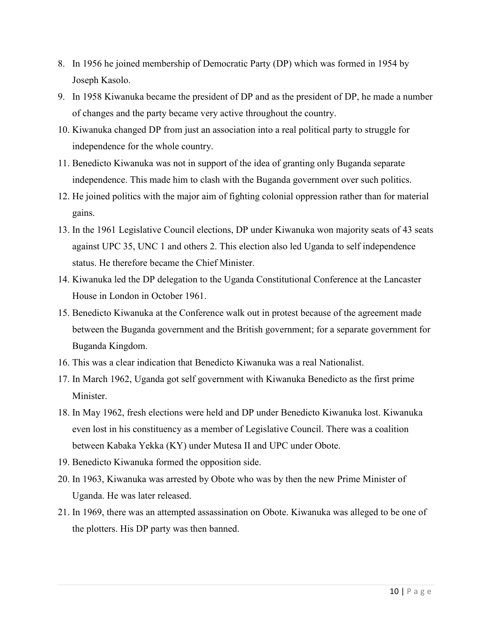- 8. In 1956 he joined membership of Democratic Party (DP) which was formed in 1954 by Joseph Kasolo.
- 9. In 1958 Kiwanuka became the president of DP and as the president of DP, he made a number of changes and the party became very active throughout the country.
- 10. Kiwanuka changed DP from just an association into a real political party to struggle for independence for the whole country.
- 11. Benedicto Kiwanuka was not in support of the idea of granting only Buganda separate independence. This made him to clash with the Buganda government over such politics.
- 12. He joined politics with the major aim of fighting colonial oppression rather than for material gains.
- 13. In the 1961 Legislative Council elections, DP under Kiwanuka won majority seats of 43 seats against UPC 35, UNC 1 and others 2. This election also led Uganda to self independence status. He therefore became the Chief Minister.
- 14. Kiwanuka led the DP delegation to the Uganda Constitutional Conference at the Lancaster House in London in October 1961.
- 15. Benedicto Kiwanuka at the Conference walk out in protest because of the agreement made between the Buganda government and the British government; for a separate government for Buganda Kingdom.
- 16. This was a clear indication that Benedicto Kiwanuka was a real Nationalist.
- 17. In March 1962, Uganda got self government with Kiwanuka Benedicto as the first prime Minister.
- 18. In May 1962, fresh elections were held and DP under Benedicto Kiwanuka lost. Kiwanuka even lost in his constituency as a member of Legislative Council. There was a coalition between Kabaka Yekka (KY) under Mutesa II and UPC under Obote.
- 19. Benedicto Kiwanuka formed the opposition side.
- 20. In 1963, Kiwanuka was arrested by Obote who was by then the new Prime Minister of Uganda. He was later released.
- 21. In 1969, there was an attempted assassination on Obote. Kiwanuka was alleged to be one of the plotters. His DP party was then banned.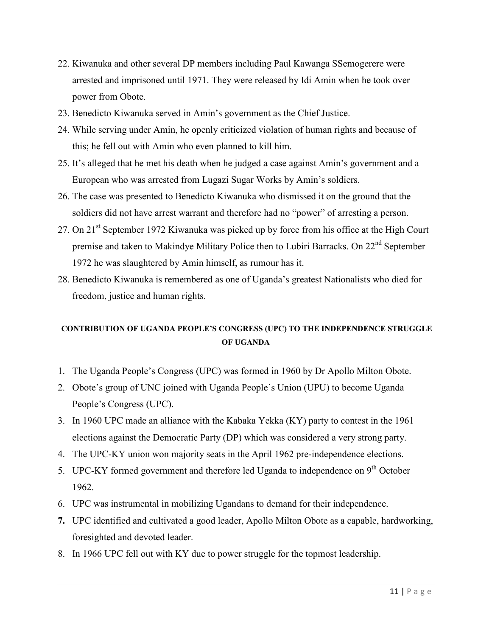- 22. Kiwanuka and other several DP members including Paul Kawanga SSemogerere were arrested and imprisoned until 1971. They were released by Idi Amin when he took over power from Obote.
- 23. Benedicto Kiwanuka served in Amin's government as the Chief Justice.
- 24. While serving under Amin, he openly criticized violation of human rights and because of this; he fell out with Amin who even planned to kill him.
- 25. It's alleged that he met his death when he judged a case against Amin's government and a European who was arrested from Lugazi Sugar Works by Amin's soldiers.
- 26. The case was presented to Benedicto Kiwanuka who dismissed it on the ground that the soldiers did not have arrest warrant and therefore had no "power" of arresting a person.
- 27. On 21<sup>st</sup> September 1972 Kiwanuka was picked up by force from his office at the High Court premise and taken to Makindye Military Police then to Lubiri Barracks. On 22<sup>nd</sup> September 1972 he was slaughtered by Amin himself, as rumour has it.
- 28. Benedicto Kiwanuka is remembered as one of Uganda's greatest Nationalists who died for freedom, justice and human rights.

# **CONTRIBUTION OF UGANDA PEOPLE'S CONGRESS (UPC) TO THE INDEPENDENCE STRUGGLE OF UGANDA**

- 1. The Uganda People's Congress (UPC) was formed in 1960 by Dr Apollo Milton Obote.
- 2. Obote's group of UNC joined with Uganda People's Union (UPU) to become Uganda People's Congress (UPC).
- 3. In 1960 UPC made an alliance with the Kabaka Yekka (KY) party to contest in the 1961 elections against the Democratic Party (DP) which was considered a very strong party.
- 4. The UPC-KY union won majority seats in the April 1962 pre-independence elections.
- 5. UPC-KY formed government and therefore led Uganda to independence on 9<sup>th</sup> October 1962.
- 6. UPC was instrumental in mobilizing Ugandans to demand for their independence.
- **7.** UPC identified and cultivated a good leader, Apollo Milton Obote as a capable, hardworking, foresighted and devoted leader.
- 8. In 1966 UPC fell out with KY due to power struggle for the topmost leadership.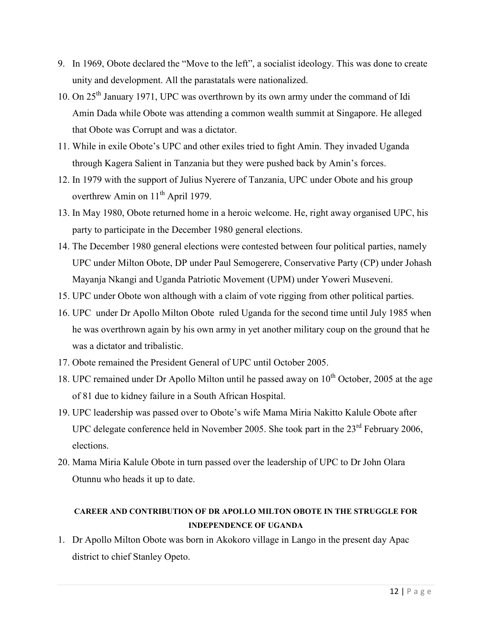- 9. In 1969, Obote declared the "Move to the left", a socialist ideology. This was done to create unity and development. All the parastatals were nationalized.
- 10. On 25<sup>th</sup> January 1971, UPC was overthrown by its own army under the command of Idi Amin Dada while Obote was attending a common wealth summit at Singapore. He alleged that Obote was Corrupt and was a dictator.
- 11. While in exile Obote's UPC and other exiles tried to fight Amin. They invaded Uganda through Kagera Salient in Tanzania but they were pushed back by Amin's forces.
- 12. In 1979 with the support of Julius Nyerere of Tanzania, UPC under Obote and his group overthrew Amin on 11<sup>th</sup> April 1979.
- 13. In May 1980, Obote returned home in a heroic welcome. He, right away organised UPC, his party to participate in the December 1980 general elections.
- 14. The December 1980 general elections were contested between four political parties, namely UPC under Milton Obote, DP under Paul Semogerere, Conservative Party (CP) under Johash Mayanja Nkangi and Uganda Patriotic Movement (UPM) under Yoweri Museveni.
- 15. UPC under Obote won although with a claim of vote rigging from other political parties.
- 16. UPC under Dr Apollo Milton Obote ruled Uganda for the second time until July 1985 when he was overthrown again by his own army in yet another military coup on the ground that he was a dictator and tribalistic.
- 17. Obote remained the President General of UPC until October 2005.
- 18. UPC remained under Dr Apollo Milton until he passed away on  $10^{th}$  October, 2005 at the age of 81 due to kidney failure in a South African Hospital.
- 19. UPC leadership was passed over to Obote's wife Mama Miria Nakitto Kalule Obote after UPC delegate conference held in November 2005. She took part in the  $23<sup>rd</sup>$  February 2006, elections.
- 20. Mama Miria Kalule Obote in turn passed over the leadership of UPC to Dr John Olara Otunnu who heads it up to date.

## **CAREER AND CONTRIBUTION OF DR APOLLO MILTON OBOTE IN THE STRUGGLE FOR INDEPENDENCE OF UGANDA**

1. Dr Apollo Milton Obote was born in Akokoro village in Lango in the present day Apac district to chief Stanley Opeto.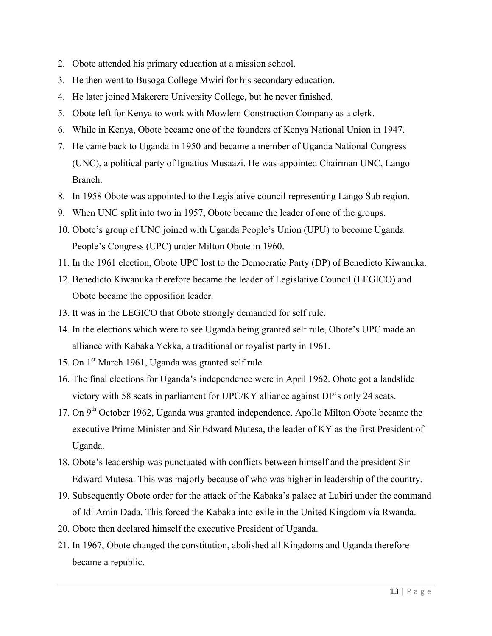- 2. Obote attended his primary education at a mission school.
- 3. He then went to Busoga College Mwiri for his secondary education.
- 4. He later joined Makerere University College, but he never finished.
- 5. Obote left for Kenya to work with Mowlem Construction Company as a clerk.
- 6. While in Kenya, Obote became one of the founders of Kenya National Union in 1947.
- 7. He came back to Uganda in 1950 and became a member of Uganda National Congress (UNC), a political party of Ignatius Musaazi. He was appointed Chairman UNC, Lango Branch.
- 8. In 1958 Obote was appointed to the Legislative council representing Lango Sub region.
- 9. When UNC split into two in 1957, Obote became the leader of one of the groups.
- 10. Obote's group of UNC joined with Uganda People's Union (UPU) to become Uganda People's Congress (UPC) under Milton Obote in 1960.
- 11. In the 1961 election, Obote UPC lost to the Democratic Party (DP) of Benedicto Kiwanuka.
- 12. Benedicto Kiwanuka therefore became the leader of Legislative Council (LEGICO) and Obote became the opposition leader.
- 13. It was in the LEGICO that Obote strongly demanded for self rule.
- 14. In the elections which were to see Uganda being granted self rule, Obote's UPC made an alliance with Kabaka Yekka, a traditional or royalist party in 1961.
- 15. On 1<sup>st</sup> March 1961, Uganda was granted self rule.
- 16. The final elections for Uganda's independence were in April 1962. Obote got a landslide victory with 58 seats in parliament for UPC/KY alliance against DP's only 24 seats.
- 17. On  $9<sup>th</sup>$  October 1962, Uganda was granted independence. Apollo Milton Obote became the executive Prime Minister and Sir Edward Mutesa, the leader of KY as the first President of Uganda.
- 18. Obote's leadership was punctuated with conflicts between himself and the president Sir Edward Mutesa. This was majorly because of who was higher in leadership of the country.
- 19. Subsequently Obote order for the attack of the Kabaka's palace at Lubiri under the command of Idi Amin Dada. This forced the Kabaka into exile in the United Kingdom via Rwanda.
- 20. Obote then declared himself the executive President of Uganda.
- 21. In 1967, Obote changed the constitution, abolished all Kingdoms and Uganda therefore became a republic.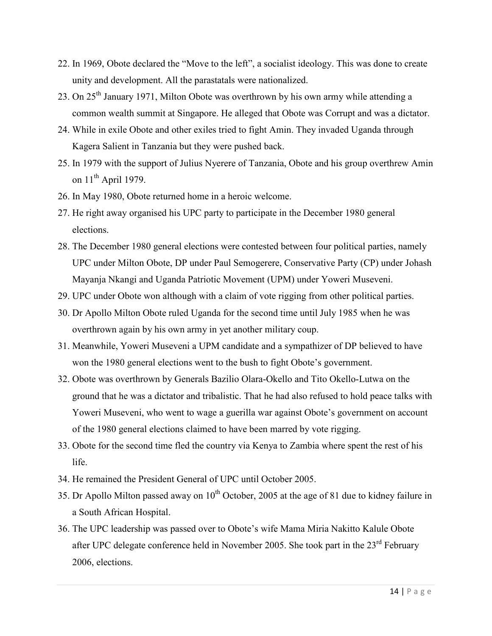- 22. In 1969, Obote declared the "Move to the left", a socialist ideology. This was done to create unity and development. All the parastatals were nationalized.
- 23. On 25<sup>th</sup> January 1971, Milton Obote was overthrown by his own army while attending a common wealth summit at Singapore. He alleged that Obote was Corrupt and was a dictator.
- 24. While in exile Obote and other exiles tried to fight Amin. They invaded Uganda through Kagera Salient in Tanzania but they were pushed back.
- 25. In 1979 with the support of Julius Nyerere of Tanzania, Obote and his group overthrew Amin on 11<sup>th</sup> April 1979.
- 26. In May 1980, Obote returned home in a heroic welcome.
- 27. He right away organised his UPC party to participate in the December 1980 general elections.
- 28. The December 1980 general elections were contested between four political parties, namely UPC under Milton Obote, DP under Paul Semogerere, Conservative Party (CP) under Johash Mayanja Nkangi and Uganda Patriotic Movement (UPM) under Yoweri Museveni.
- 29. UPC under Obote won although with a claim of vote rigging from other political parties.
- 30. Dr Apollo Milton Obote ruled Uganda for the second time until July 1985 when he was overthrown again by his own army in yet another military coup.
- 31. Meanwhile, Yoweri Museveni a UPM candidate and a sympathizer of DP believed to have won the 1980 general elections went to the bush to fight Obote's government.
- 32. Obote was overthrown by Generals Bazilio Olara-Okello and Tito Okello-Lutwa on the ground that he was a dictator and tribalistic. That he had also refused to hold peace talks with Yoweri Museveni, who went to wage a guerilla war against Obote's government on account of the 1980 general elections claimed to have been marred by vote rigging.
- 33. Obote for the second time fled the country via Kenya to Zambia where spent the rest of his life.
- 34. He remained the President General of UPC until October 2005.
- 35. Dr Apollo Milton passed away on  $10^{th}$  October, 2005 at the age of 81 due to kidney failure in a South African Hospital.
- 36. The UPC leadership was passed over to Obote's wife Mama Miria Nakitto Kalule Obote after UPC delegate conference held in November 2005. She took part in the 23<sup>rd</sup> February 2006, elections.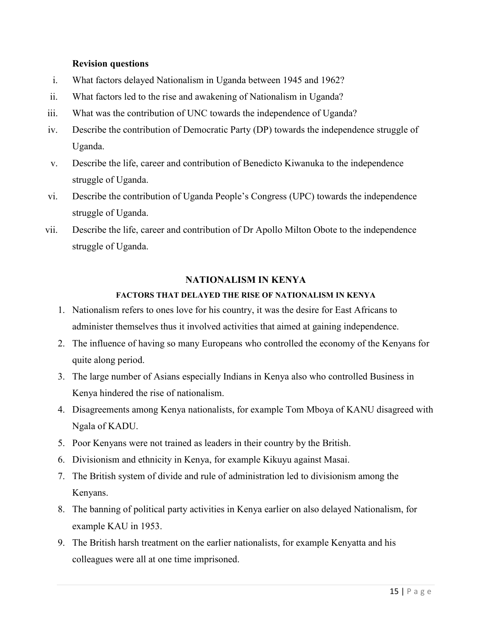#### **Revision questions**

- i. What factors delayed Nationalism in Uganda between 1945 and 1962?
- ii. What factors led to the rise and awakening of Nationalism in Uganda?
- iii. What was the contribution of UNC towards the independence of Uganda?
- iv. Describe the contribution of Democratic Party (DP) towards the independence struggle of Uganda.
- v. Describe the life, career and contribution of Benedicto Kiwanuka to the independence struggle of Uganda.
- vi. Describe the contribution of Uganda People's Congress (UPC) towards the independence struggle of Uganda.
- vii. Describe the life, career and contribution of Dr Apollo Milton Obote to the independence struggle of Uganda.

### **NATIONALISM IN KENYA**

### **FACTORS THAT DELAYED THE RISE OF NATIONALISM IN KENYA**

- 1. Nationalism refers to ones love for his country, it was the desire for East Africans to administer themselves thus it involved activities that aimed at gaining independence.
- 2. The influence of having so many Europeans who controlled the economy of the Kenyans for quite along period.
- 3. The large number of Asians especially Indians in Kenya also who controlled Business in Kenya hindered the rise of nationalism.
- 4. Disagreements among Kenya nationalists, for example Tom Mboya of KANU disagreed with Ngala of KADU.
- 5. Poor Kenyans were not trained as leaders in their country by the British.
- 6. Divisionism and ethnicity in Kenya, for example Kikuyu against Masai.
- 7. The British system of divide and rule of administration led to divisionism among the Kenyans.
- 8. The banning of political party activities in Kenya earlier on also delayed Nationalism, for example KAU in 1953.
- 9. The British harsh treatment on the earlier nationalists, for example Kenyatta and his colleagues were all at one time imprisoned.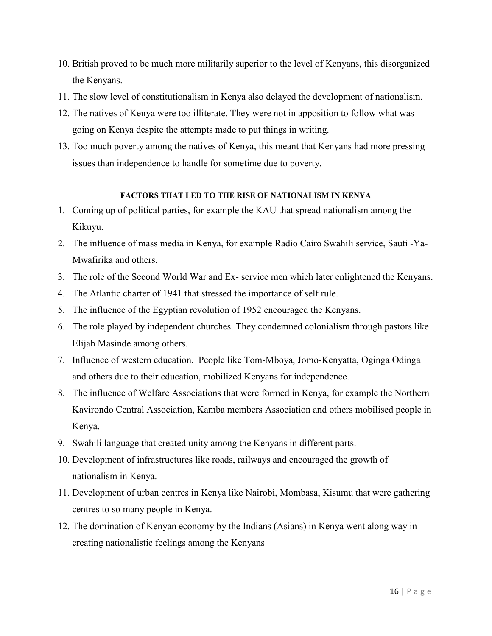- 10. British proved to be much more militarily superior to the level of Kenyans, this disorganized the Kenyans.
- 11. The slow level of constitutionalism in Kenya also delayed the development of nationalism.
- 12. The natives of Kenya were too illiterate. They were not in apposition to follow what was going on Kenya despite the attempts made to put things in writing.
- 13. Too much poverty among the natives of Kenya, this meant that Kenyans had more pressing issues than independence to handle for sometime due to poverty.

#### **FACTORS THAT LED TO THE RISE OF NATIONALISM IN KENYA**

- 1. Coming up of political parties, for example the KAU that spread nationalism among the Kikuyu.
- 2. The influence of mass media in Kenya, for example Radio Cairo Swahili service, Sauti -Ya-Mwafirika and others.
- 3. The role of the Second World War and Ex- service men which later enlightened the Kenyans.
- 4. The Atlantic charter of 1941 that stressed the importance of self rule.
- 5. The influence of the Egyptian revolution of 1952 encouraged the Kenyans.
- 6. The role played by independent churches. They condemned colonialism through pastors like Elijah Masinde among others.
- 7. Influence of western education. People like Tom-Mboya, Jomo-Kenyatta, Oginga Odinga and others due to their education, mobilized Kenyans for independence.
- 8. The influence of Welfare Associations that were formed in Kenya, for example the Northern Kavirondo Central Association, Kamba members Association and others mobilised people in Kenya.
- 9. Swahili language that created unity among the Kenyans in different parts.
- 10. Development of infrastructures like roads, railways and encouraged the growth of nationalism in Kenya.
- 11. Development of urban centres in Kenya like Nairobi, Mombasa, Kisumu that were gathering centres to so many people in Kenya.
- 12. The domination of Kenyan economy by the Indians (Asians) in Kenya went along way in creating nationalistic feelings among the Kenyans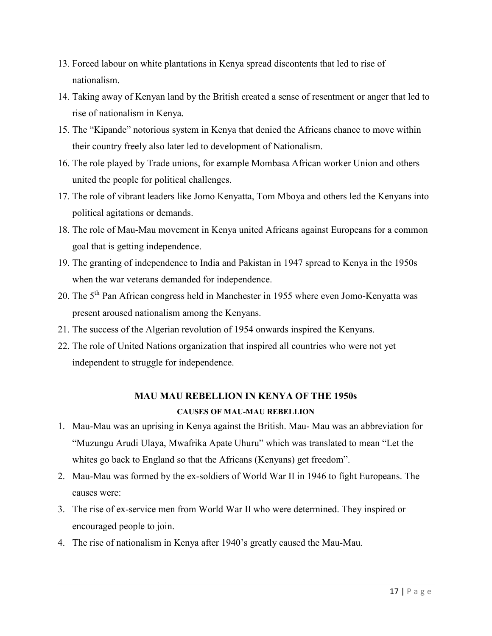- 13. Forced labour on white plantations in Kenya spread discontents that led to rise of nationalism.
- 14. Taking away of Kenyan land by the British created a sense of resentment or anger that led to rise of nationalism in Kenya.
- 15. The "Kipande" notorious system in Kenya that denied the Africans chance to move within their country freely also later led to development of Nationalism.
- 16. The role played by Trade unions, for example Mombasa African worker Union and others united the people for political challenges.
- 17. The role of vibrant leaders like Jomo Kenyatta, Tom Mboya and others led the Kenyans into political agitations or demands.
- 18. The role of Mau-Mau movement in Kenya united Africans against Europeans for a common goal that is getting independence.
- 19. The granting of independence to India and Pakistan in 1947 spread to Kenya in the 1950s when the war veterans demanded for independence.
- 20. The 5<sup>th</sup> Pan African congress held in Manchester in 1955 where even Jomo-Kenyatta was present aroused nationalism among the Kenyans.
- 21. The success of the Algerian revolution of 1954 onwards inspired the Kenyans.
- 22. The role of United Nations organization that inspired all countries who were not yet independent to struggle for independence.

## **MAU MAU REBELLION IN KENYA OF THE 1950s**

#### **CAUSES OF MAU-MAU REBELLION**

- 1. Mau-Mau was an uprising in Kenya against the British. Mau- Mau was an abbreviation for "Muzungu Arudi Ulaya, Mwafrika Apate Uhuru" which was translated to mean "Let the whites go back to England so that the Africans (Kenyans) get freedom".
- 2. Mau-Mau was formed by the ex-soldiers of World War II in 1946 to fight Europeans. The causes were:
- 3. The rise of ex-service men from World War II who were determined. They inspired or encouraged people to join.
- 4. The rise of nationalism in Kenya after 1940's greatly caused the Mau-Mau.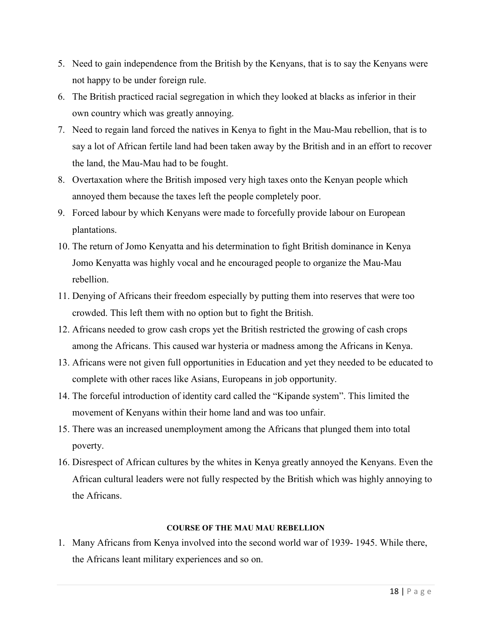- 5. Need to gain independence from the British by the Kenyans, that is to say the Kenyans were not happy to be under foreign rule.
- 6. The British practiced racial segregation in which they looked at blacks as inferior in their own country which was greatly annoying.
- 7. Need to regain land forced the natives in Kenya to fight in the Mau-Mau rebellion, that is to say a lot of African fertile land had been taken away by the British and in an effort to recover the land, the Mau-Mau had to be fought.
- 8. Overtaxation where the British imposed very high taxes onto the Kenyan people which annoyed them because the taxes left the people completely poor.
- 9. Forced labour by which Kenyans were made to forcefully provide labour on European plantations.
- 10. The return of Jomo Kenyatta and his determination to fight British dominance in Kenya Jomo Kenyatta was highly vocal and he encouraged people to organize the Mau-Mau rebellion.
- 11. Denying of Africans their freedom especially by putting them into reserves that were too crowded. This left them with no option but to fight the British.
- 12. Africans needed to grow cash crops yet the British restricted the growing of cash crops among the Africans. This caused war hysteria or madness among the Africans in Kenya.
- 13. Africans were not given full opportunities in Education and yet they needed to be educated to complete with other races like Asians, Europeans in job opportunity.
- 14. The forceful introduction of identity card called the "Kipande system". This limited the movement of Kenyans within their home land and was too unfair.
- 15. There was an increased unemployment among the Africans that plunged them into total poverty.
- 16. Disrespect of African cultures by the whites in Kenya greatly annoyed the Kenyans. Even the African cultural leaders were not fully respected by the British which was highly annoying to the Africans.

#### **COURSE OF THE MAU MAU REBELLION**

1. Many Africans from Kenya involved into the second world war of 1939- 1945. While there, the Africans leant military experiences and so on.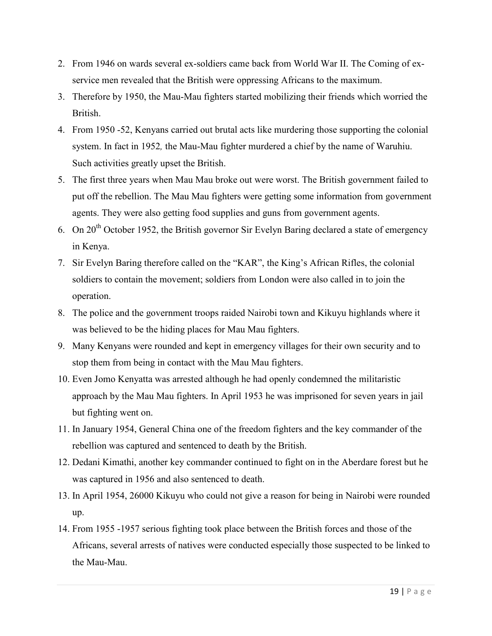- 2. From 1946 on wards several ex-soldiers came back from World War II. The Coming of exservice men revealed that the British were oppressing Africans to the maximum.
- 3. Therefore by 1950, the Mau-Mau fighters started mobilizing their friends which worried the British.
- 4. From 1950 -52, Kenyans carried out brutal acts like murdering those supporting the colonial system. In fact in 1952*,* the Mau-Mau fighter murdered a chief by the name of Waruhiu. Such activities greatly upset the British.
- 5. The first three years when Mau Mau broke out were worst. The British government failed to put off the rebellion. The Mau Mau fighters were getting some information from government agents. They were also getting food supplies and guns from government agents.
- 6. On  $20<sup>th</sup>$  October 1952, the British governor Sir Evelyn Baring declared a state of emergency in Kenya.
- 7. Sir Evelyn Baring therefore called on the "KAR", the King's African Rifles, the colonial soldiers to contain the movement; soldiers from London were also called in to join the operation.
- 8. The police and the government troops raided Nairobi town and Kikuyu highlands where it was believed to be the hiding places for Mau Mau fighters.
- 9. Many Kenyans were rounded and kept in emergency villages for their own security and to stop them from being in contact with the Mau Mau fighters.
- 10. Even Jomo Kenyatta was arrested although he had openly condemned the militaristic approach by the Mau Mau fighters. In April 1953 he was imprisoned for seven years in jail but fighting went on.
- 11. In January 1954, General China one of the freedom fighters and the key commander of the rebellion was captured and sentenced to death by the British.
- 12. Dedani Kimathi, another key commander continued to fight on in the Aberdare forest but he was captured in 1956 and also sentenced to death.
- 13. In April 1954, 26000 Kikuyu who could not give a reason for being in Nairobi were rounded up.
- 14. From 1955 -1957 serious fighting took place between the British forces and those of the Africans, several arrests of natives were conducted especially those suspected to be linked to the Mau-Mau.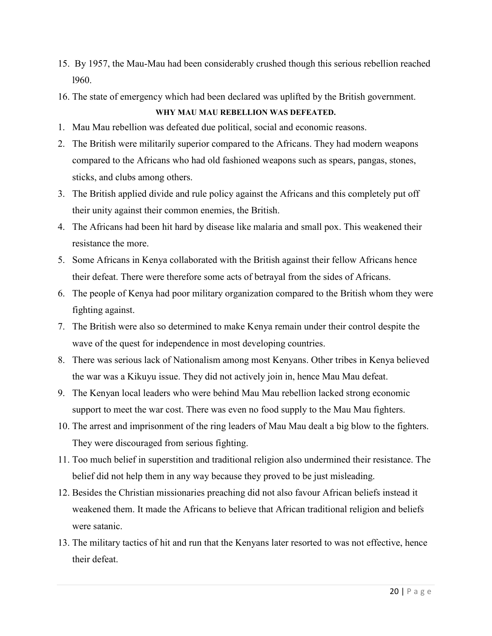- 15. By 1957, the Mau-Mau had been considerably crushed though this serious rebellion reached l960.
- 16. The state of emergency which had been declared was uplifted by the British government.

### **WHY MAU MAU REBELLION WAS DEFEATED.**

- 1. Mau Mau rebellion was defeated due political, social and economic reasons.
- 2. The British were militarily superior compared to the Africans. They had modern weapons compared to the Africans who had old fashioned weapons such as spears, pangas, stones, sticks, and clubs among others.
- 3. The British applied divide and rule policy against the Africans and this completely put off their unity against their common enemies, the British.
- 4. The Africans had been hit hard by disease like malaria and small pox. This weakened their resistance the more.
- 5. Some Africans in Kenya collaborated with the British against their fellow Africans hence their defeat. There were therefore some acts of betrayal from the sides of Africans.
- 6. The people of Kenya had poor military organization compared to the British whom they were fighting against.
- 7. The British were also so determined to make Kenya remain under their control despite the wave of the quest for independence in most developing countries.
- 8. There was serious lack of Nationalism among most Kenyans. Other tribes in Kenya believed the war was a Kikuyu issue. They did not actively join in, hence Mau Mau defeat.
- 9. The Kenyan local leaders who were behind Mau Mau rebellion lacked strong economic support to meet the war cost. There was even no food supply to the Mau Mau fighters.
- 10. The arrest and imprisonment of the ring leaders of Mau Mau dealt a big blow to the fighters. They were discouraged from serious fighting.
- 11. Too much belief in superstition and traditional religion also undermined their resistance. The belief did not help them in any way because they proved to be just misleading.
- 12. Besides the Christian missionaries preaching did not also favour African beliefs instead it weakened them. It made the Africans to believe that African traditional religion and beliefs were satanic.
- 13. The military tactics of hit and run that the Kenyans later resorted to was not effective, hence their defeat.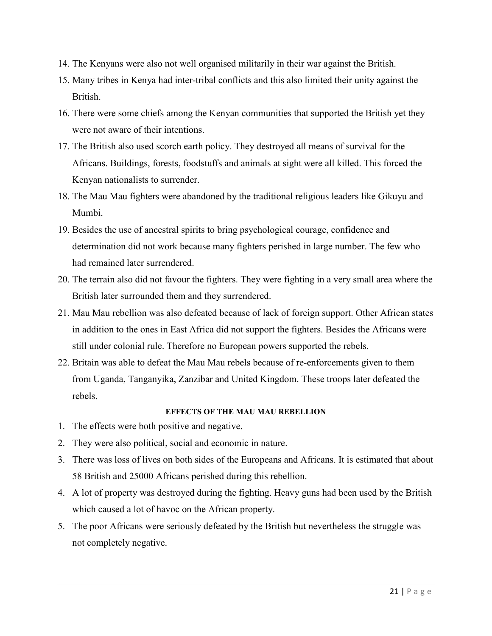- 14. The Kenyans were also not well organised militarily in their war against the British.
- 15. Many tribes in Kenya had inter-tribal conflicts and this also limited their unity against the British.
- 16. There were some chiefs among the Kenyan communities that supported the British yet they were not aware of their intentions.
- 17. The British also used scorch earth policy. They destroyed all means of survival for the Africans. Buildings, forests, foodstuffs and animals at sight were all killed. This forced the Kenyan nationalists to surrender.
- 18. The Mau Mau fighters were abandoned by the traditional religious leaders like Gikuyu and Mumbi.
- 19. Besides the use of ancestral spirits to bring psychological courage, confidence and determination did not work because many fighters perished in large number. The few who had remained later surrendered.
- 20. The terrain also did not favour the fighters. They were fighting in a very small area where the British later surrounded them and they surrendered.
- 21. Mau Mau rebellion was also defeated because of lack of foreign support. Other African states in addition to the ones in East Africa did not support the fighters. Besides the Africans were still under colonial rule. Therefore no European powers supported the rebels.
- 22. Britain was able to defeat the Mau Mau rebels because of re-enforcements given to them from Uganda, Tanganyika, Zanzibar and United Kingdom. These troops later defeated the rebels.

#### **EFFECTS OF THE MAU MAU REBELLION**

- 1. The effects were both positive and negative.
- 2. They were also political, social and economic in nature.
- 3. There was loss of lives on both sides of the Europeans and Africans. It is estimated that about 58 British and 25000 Africans perished during this rebellion.
- 4. A lot of property was destroyed during the fighting. Heavy guns had been used by the British which caused a lot of havoc on the African property.
- 5. The poor Africans were seriously defeated by the British but nevertheless the struggle was not completely negative.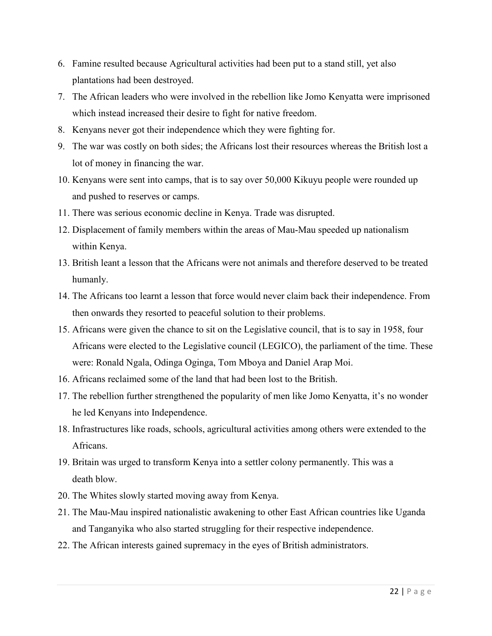- 6. Famine resulted because Agricultural activities had been put to a stand still, yet also plantations had been destroyed.
- 7. The African leaders who were involved in the rebellion like Jomo Kenyatta were imprisoned which instead increased their desire to fight for native freedom.
- 8. Kenyans never got their independence which they were fighting for.
- 9. The war was costly on both sides; the Africans lost their resources whereas the British lost a lot of money in financing the war.
- 10. Kenyans were sent into camps, that is to say over 50,000 Kikuyu people were rounded up and pushed to reserves or camps.
- 11. There was serious economic decline in Kenya. Trade was disrupted.
- 12. Displacement of family members within the areas of Mau-Mau speeded up nationalism within Kenya.
- 13. British leant a lesson that the Africans were not animals and therefore deserved to be treated humanly.
- 14. The Africans too learnt a lesson that force would never claim back their independence. From then onwards they resorted to peaceful solution to their problems.
- 15. Africans were given the chance to sit on the Legislative council, that is to say in 1958, four Africans were elected to the Legislative council (LEGICO), the parliament of the time. These were: Ronald Ngala, Odinga Oginga, Tom Mboya and Daniel Arap Moi.
- 16. Africans reclaimed some of the land that had been lost to the British.
- 17. The rebellion further strengthened the popularity of men like Jomo Kenyatta, it's no wonder he led Kenyans into Independence.
- 18. Infrastructures like roads, schools, agricultural activities among others were extended to the Africans.
- 19. Britain was urged to transform Kenya into a settler colony permanently. This was a death blow.
- 20. The Whites slowly started moving away from Kenya.
- 21. The Mau-Mau inspired nationalistic awakening to other East African countries like Uganda and Tanganyika who also started struggling for their respective independence.
- 22. The African interests gained supremacy in the eyes of British administrators.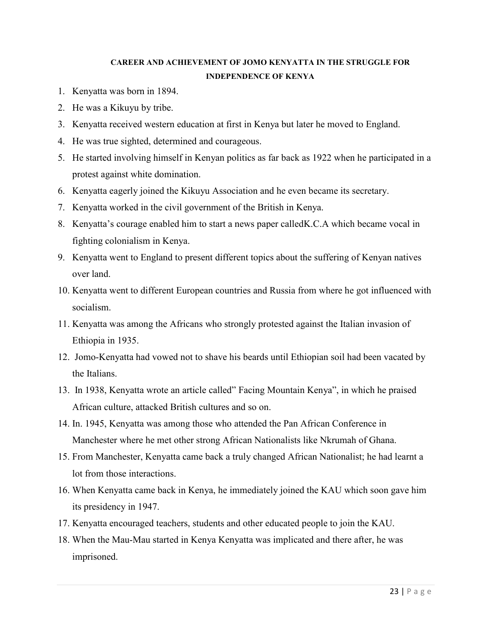# **CAREER AND ACHIEVEMENT OF JOMO KENYATTA IN THE STRUGGLE FOR INDEPENDENCE OF KENYA**

- 1. Kenyatta was born in 1894.
- 2. He was a Kikuyu by tribe.
- 3. Kenyatta received western education at first in Kenya but later he moved to England.
- 4. He was true sighted, determined and courageous.
- 5. He started involving himself in Kenyan politics as far back as 1922 when he participated in a protest against white domination.
- 6. Kenyatta eagerly joined the Kikuyu Association and he even became its secretary.
- 7. Kenyatta worked in the civil government of the British in Kenya.
- 8. Kenyatta's courage enabled him to start a news paper calledK.C.A which became vocal in fighting colonialism in Kenya.
- 9. Kenyatta went to England to present different topics about the suffering of Kenyan natives over land.
- 10. Kenyatta went to different European countries and Russia from where he got influenced with socialism.
- 11. Kenyatta was among the Africans who strongly protested against the Italian invasion of Ethiopia in 1935.
- 12. Jomo-Kenyatta had vowed not to shave his beards until Ethiopian soil had been vacated by the Italians.
- 13. In 1938, Kenyatta wrote an article called" Facing Mountain Kenya", in which he praised African culture, attacked British cultures and so on.
- 14. In. 1945, Kenyatta was among those who attended the Pan African Conference in Manchester where he met other strong African Nationalists like Nkrumah of Ghana.
- 15. From Manchester, Kenyatta came back a truly changed African Nationalist; he had learnt a lot from those interactions.
- 16. When Kenyatta came back in Kenya, he immediately joined the KAU which soon gave him its presidency in 1947.
- 17. Kenyatta encouraged teachers, students and other educated people to join the KAU.
- 18. When the Mau-Mau started in Kenya Kenyatta was implicated and there after, he was imprisoned.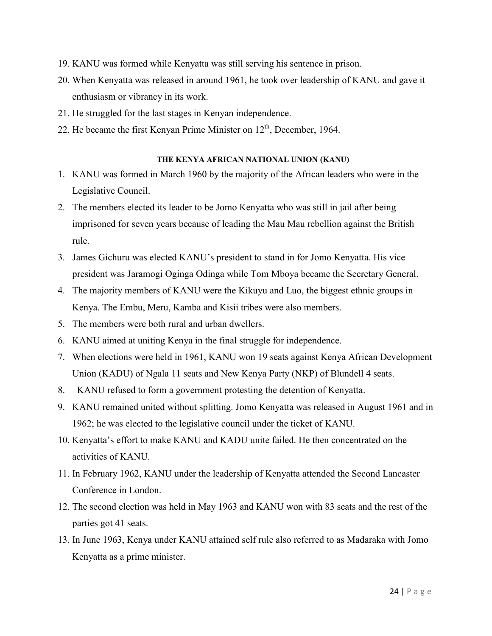- 19. KANU was formed while Kenyatta was still serving his sentence in prison.
- 20. When Kenyatta was released in around 1961, he took over leadership of KANU and gave it enthusiasm or vibrancy in its work.
- 21. He struggled for the last stages in Kenyan independence.
- 22. He became the first Kenyan Prime Minister on  $12<sup>th</sup>$ , December, 1964.

#### **THE KENYA AFRICAN NATIONAL UNION (KANU)**

- 1. KANU was formed in March 1960 by the majority of the African leaders who were in the Legislative Council.
- 2. The members elected its leader to be Jomo Kenyatta who was still in jail after being imprisoned for seven years because of leading the Mau Mau rebellion against the British rule.
- 3. James Gichuru was elected KANU's president to stand in for Jomo Kenyatta. His vice president was Jaramogi Oginga Odinga while Tom Mboya became the Secretary General.
- 4. The majority members of KANU were the Kikuyu and Luo, the biggest ethnic groups in Kenya. The Embu, Meru, Kamba and Kisii tribes were also members.
- 5. The members were both rural and urban dwellers.
- 6. KANU aimed at uniting Kenya in the final struggle for independence.
- 7. When elections were held in 1961, KANU won 19 seats against Kenya African Development Union (KADU) of Ngala 11 seats and New Kenya Party (NKP) of Blundell 4 seats.
- 8. KANU refused to form a government protesting the detention of Kenyatta.
- 9. KANU remained united without splitting. Jomo Kenyatta was released in August 1961 and in 1962; he was elected to the legislative council under the ticket of KANU.
- 10. Kenyatta's effort to make KANU and KADU unite failed. He then concentrated on the activities of KANU.
- 11. In February 1962, KANU under the leadership of Kenyatta attended the Second Lancaster Conference in London.
- 12. The second election was held in May 1963 and KANU won with 83 seats and the rest of the parties got 41 seats.
- 13. In June 1963, Kenya under KANU attained self rule also referred to as Madaraka with Jomo Kenyatta as a prime minister.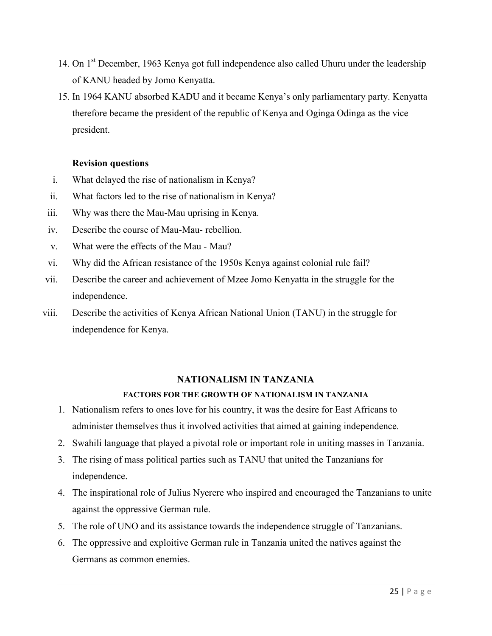- 14. On 1<sup>st</sup> December, 1963 Kenya got full independence also called Uhuru under the leadership of KANU headed by Jomo Kenyatta.
- 15. In 1964 KANU absorbed KADU and it became Kenya's only parliamentary party. Kenyatta therefore became the president of the republic of Kenya and Oginga Odinga as the vice president.

### **Revision questions**

- i. What delayed the rise of nationalism in Kenya?
- ii. What factors led to the rise of nationalism in Kenya?
- iii. Why was there the Mau-Mau uprising in Kenya.
- iv. Describe the course of Mau-Mau- rebellion.
- v. What were the effects of the Mau Mau?
- vi. Why did the African resistance of the 1950s Kenya against colonial rule fail?
- vii. Describe the career and achievement of Mzee Jomo Kenyatta in the struggle for the independence.
- viii. Describe the activities of Kenya African National Union (TANU) in the struggle for independence for Kenya.

#### **NATIONALISM IN TANZANIA**

#### **FACTORS FOR THE GROWTH OF NATIONALISM IN TANZANIA**

- 1. Nationalism refers to ones love for his country, it was the desire for East Africans to administer themselves thus it involved activities that aimed at gaining independence.
- 2. Swahili language that played a pivotal role or important role in uniting masses in Tanzania.
- 3. The rising of mass political parties such as TANU that united the Tanzanians for independence.
- 4. The inspirational role of Julius Nyerere who inspired and encouraged the Tanzanians to unite against the oppressive German rule.
- 5. The role of UNO and its assistance towards the independence struggle of Tanzanians.
- 6. The oppressive and exploitive German rule in Tanzania united the natives against the Germans as common enemies.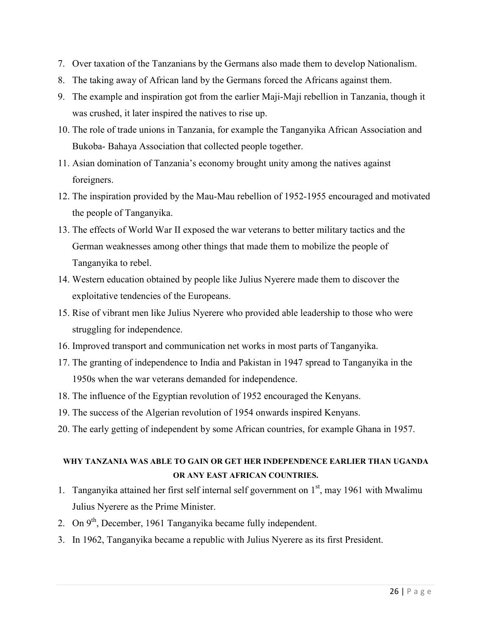- 7. Over taxation of the Tanzanians by the Germans also made them to develop Nationalism.
- 8. The taking away of African land by the Germans forced the Africans against them.
- 9. The example and inspiration got from the earlier Maji-Maji rebellion in Tanzania, though it was crushed, it later inspired the natives to rise up.
- 10. The role of trade unions in Tanzania, for example the Tanganyika African Association and Bukoba- Bahaya Association that collected people together.
- 11. Asian domination of Tanzania's economy brought unity among the natives against foreigners.
- 12. The inspiration provided by the Mau-Mau rebellion of 1952-1955 encouraged and motivated the people of Tanganyika.
- 13. The effects of World War II exposed the war veterans to better military tactics and the German weaknesses among other things that made them to mobilize the people of Tanganyika to rebel.
- 14. Western education obtained by people like Julius Nyerere made them to discover the exploitative tendencies of the Europeans.
- 15. Rise of vibrant men like Julius Nyerere who provided able leadership to those who were struggling for independence.
- 16. Improved transport and communication net works in most parts of Tanganyika.
- 17. The granting of independence to India and Pakistan in 1947 spread to Tanganyika in the 1950s when the war veterans demanded for independence.
- 18. The influence of the Egyptian revolution of 1952 encouraged the Kenyans.
- 19. The success of the Algerian revolution of 1954 onwards inspired Kenyans.
- 20. The early getting of independent by some African countries, for example Ghana in 1957.

# **WHY TANZANIA WAS ABLE TO GAIN OR GET HER INDEPENDENCE EARLIER THAN UGANDA OR ANY EAST AFRICAN COUNTRIES.**

- 1. Tanganyika attained her first self internal self government on  $1<sup>st</sup>$ , may 1961 with Mwalimu Julius Nyerere as the Prime Minister.
- 2. On 9<sup>th</sup>, December, 1961 Tanganyika became fully independent.
- 3. In 1962, Tanganyika became a republic with Julius Nyerere as its first President.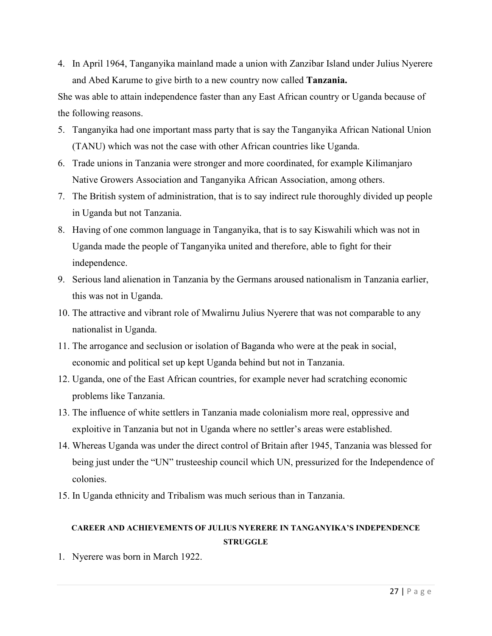4. In April 1964, Tanganyika mainland made a union with Zanzibar Island under Julius Nyerere and Abed Karume to give birth to a new country now called **Tanzania.** 

She was able to attain independence faster than any East African country or Uganda because of the following reasons.

- 5. Tanganyika had one important mass party that is say the Tanganyika African National Union (TANU) which was not the case with other African countries like Uganda.
- 6. Trade unions in Tanzania were stronger and more coordinated, for example Kilimanjaro Native Growers Association and Tanganyika African Association, among others.
- 7. The British system of administration, that is to say indirect rule thoroughly divided up people in Uganda but not Tanzania.
- 8. Having of one common language in Tanganyika, that is to say Kiswahili which was not in Uganda made the people of Tanganyika united and therefore, able to fight for their independence.
- 9. Serious land alienation in Tanzania by the Germans aroused nationalism in Tanzania earlier, this was not in Uganda.
- 10. The attractive and vibrant role of Mwalirnu Julius Nyerere that was not comparable to any nationalist in Uganda.
- 11. The arrogance and seclusion or isolation of Baganda who were at the peak in social, economic and political set up kept Uganda behind but not in Tanzania.
- 12. Uganda, one of the East African countries, for example never had scratching economic problems like Tanzania.
- 13. The influence of white settlers in Tanzania made colonialism more real, oppressive and exploitive in Tanzania but not in Uganda where no settler's areas were established.
- 14. Whereas Uganda was under the direct control of Britain after 1945, Tanzania was blessed for being just under the "UN" trusteeship council which UN, pressurized for the Independence of colonies.
- 15. In Uganda ethnicity and Tribalism was much serious than in Tanzania.

# **CAREER AND ACHIEVEMENTS OF JULIUS NYERERE IN TANGANYIKA'S INDEPENDENCE STRUGGLE**

1. Nyerere was born in March 1922.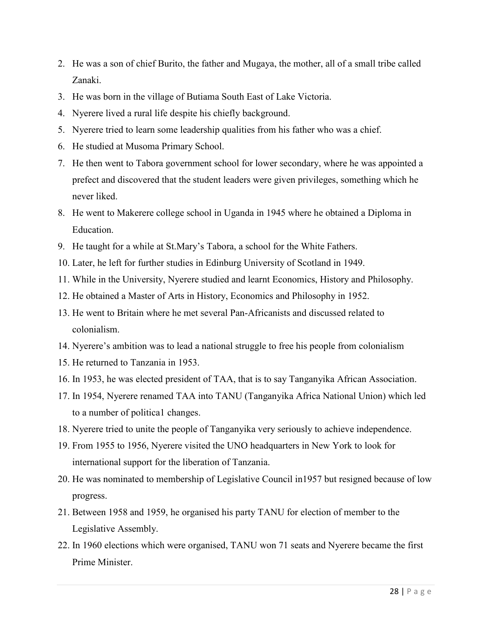- 2. He was a son of chief Burito, the father and Mugaya, the mother, all of a small tribe called Zanaki.
- 3. He was born in the village of Butiama South East of Lake Victoria.
- 4. Nyerere lived a rural life despite his chiefly background.
- 5. Nyerere tried to learn some leadership qualities from his father who was a chief.
- 6. He studied at Musoma Primary School.
- 7. He then went to Tabora government school for lower secondary, where he was appointed a prefect and discovered that the student leaders were given privileges, something which he never liked.
- 8. He went to Makerere college school in Uganda in 1945 where he obtained a Diploma in Education.
- 9. He taught for a while at St.Mary's Tabora, a school for the White Fathers.
- 10. Later, he left for further studies in Edinburg University of Scotland in 1949.
- 11. While in the University, Nyerere studied and learnt Economics, History and Philosophy.
- 12. He obtained a Master of Arts in History, Economics and Philosophy in 1952.
- 13. He went to Britain where he met several Pan-Africanists and discussed related to colonialism.
- 14. Nyerere's ambition was to lead a national struggle to free his people from colonialism
- 15. He returned to Tanzania in 1953.
- 16. In 1953, he was elected president of TAA, that is to say Tanganyika African Association.
- 17. In 1954, Nyerere renamed TAA into TANU (Tanganyika Africa National Union) which led to a number of politica1 changes.
- 18. Nyerere tried to unite the people of Tanganyika very seriously to achieve independence.
- 19. From 1955 to 1956, Nyerere visited the UNO headquarters in New York to look for international support for the liberation of Tanzania.
- 20. He was nominated to membership of Legislative Council in1957 but resigned because of low progress.
- 21. Between 1958 and 1959, he organised his party TANU for election of member to the Legislative Assembly.
- 22. In 1960 elections which were organised, TANU won 71 seats and Nyerere became the first Prime Minister.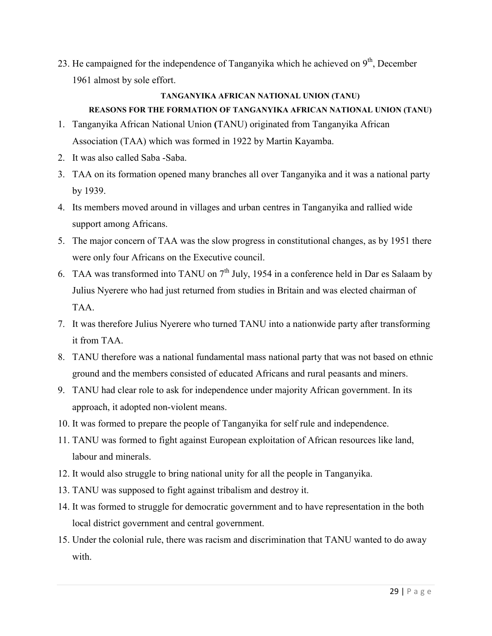23. He campaigned for the independence of Tanganyika which he achieved on  $9<sup>th</sup>$ , December 1961 almost by sole effort.

### **TANGANYIKA AFRICAN NATIONAL UNION (TANU) REASONS FOR THE FORMATION OF TANGANYIKA AFRICAN NATIONAL UNION (TANU)**

- 1. Tanganyika African National Union **(**TANU) originated from Tanganyika African Association (TAA) which was formed in 1922 by Martin Kayamba.
- 2. It was also called Saba -Saba.
- 3. TAA on its formation opened many branches all over Tanganyika and it was a national party by 1939.
- 4. Its members moved around in villages and urban centres in Tanganyika and rallied wide support among Africans.
- 5. The major concern of TAA was the slow progress in constitutional changes, as by 1951 there were only four Africans on the Executive council.
- 6. TAA was transformed into TANU on 7<sup>th</sup> July, 1954 in a conference held in Dar es Salaam by Julius Nyerere who had just returned from studies in Britain and was elected chairman of TAA.
- 7. It was therefore Julius Nyerere who turned TANU into a nationwide party after transforming it from TAA.
- 8. TANU therefore was a national fundamental mass national party that was not based on ethnic ground and the members consisted of educated Africans and rural peasants and miners.
- 9. TANU had clear role to ask for independence under majority African government. In its approach, it adopted non-violent means.
- 10. It was formed to prepare the people of Tanganyika for self rule and independence.
- 11. TANU was formed to fight against European exploitation of African resources like land, labour and minerals.
- 12. It would also struggle to bring national unity for all the people in Tanganyika.
- 13. TANU was supposed to fight against tribalism and destroy it.
- 14. It was formed to struggle for democratic government and to have representation in the both local district government and central government.
- 15. Under the colonial rule, there was racism and discrimination that TANU wanted to do away with.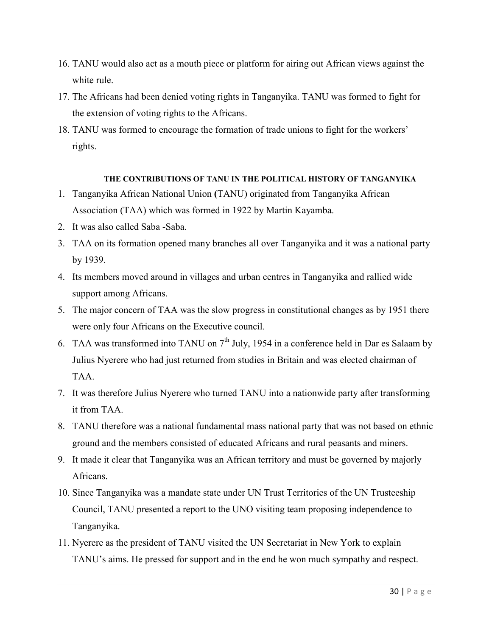- 16. TANU would also act as a mouth piece or platform for airing out African views against the white rule.
- 17. The Africans had been denied voting rights in Tanganyika. TANU was formed to fight for the extension of voting rights to the Africans.
- 18. TANU was formed to encourage the formation of trade unions to fight for the workers' rights.

#### **THE CONTRIBUTIONS OF TANU IN THE POLITICAL HISTORY OF TANGANYIKA**

- 1. Tanganyika African National Union **(**TANU) originated from Tanganyika African Association (TAA) which was formed in 1922 by Martin Kayamba.
- 2. It was also called Saba -Saba.
- 3. TAA on its formation opened many branches all over Tanganyika and it was a national party by 1939.
- 4. Its members moved around in villages and urban centres in Tanganyika and rallied wide support among Africans.
- 5. The major concern of TAA was the slow progress in constitutional changes as by 1951 there were only four Africans on the Executive council.
- 6. TAA was transformed into TANU on  $7<sup>th</sup>$  July, 1954 in a conference held in Dar es Salaam by Julius Nyerere who had just returned from studies in Britain and was elected chairman of TAA.
- 7. It was therefore Julius Nyerere who turned TANU into a nationwide party after transforming it from TAA.
- 8. TANU therefore was a national fundamental mass national party that was not based on ethnic ground and the members consisted of educated Africans and rural peasants and miners.
- 9. It made it clear that Tanganyika was an African territory and must be governed by majorly Africans.
- 10. Since Tanganyika was a mandate state under UN Trust Territories of the UN Trusteeship Council, TANU presented a report to the UNO visiting team proposing independence to Tanganyika.
- 11. Nyerere as the president of TANU visited the UN Secretariat in New York to explain TANU's aims. He pressed for support and in the end he won much sympathy and respect.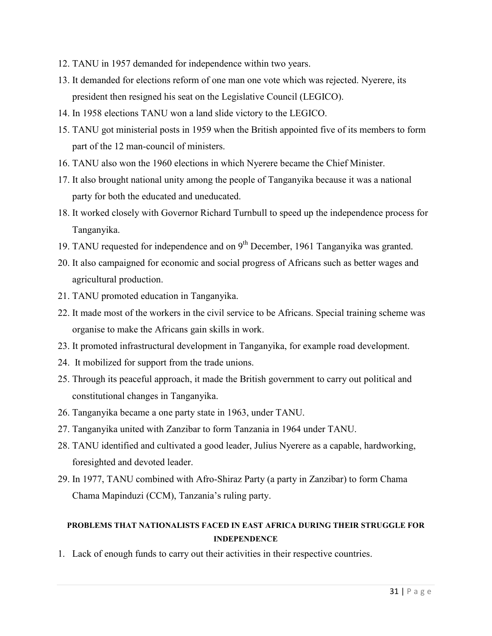- 12. TANU in 1957 demanded for independence within two years.
- 13. It demanded for elections reform of one man one vote which was rejected. Nyerere, its president then resigned his seat on the Legislative Council (LEGICO).
- 14. In 1958 elections TANU won a land slide victory to the LEGICO.
- 15. TANU got ministerial posts in 1959 when the British appointed five of its members to form part of the 12 man-council of ministers.
- 16. TANU also won the 1960 elections in which Nyerere became the Chief Minister.
- 17. It also brought national unity among the people of Tanganyika because it was a national party for both the educated and uneducated.
- 18. It worked closely with Governor Richard Turnbull to speed up the independence process for Tanganyika.
- 19. TANU requested for independence and on  $9<sup>th</sup>$  December, 1961 Tanganyika was granted.
- 20. It also campaigned for economic and social progress of Africans such as better wages and agricultural production.
- 21. TANU promoted education in Tanganyika.
- 22. It made most of the workers in the civil service to be Africans. Special training scheme was organise to make the Africans gain skills in work.
- 23. It promoted infrastructural development in Tanganyika, for example road development.
- 24. It mobilized for support from the trade unions.
- 25. Through its peaceful approach, it made the British government to carry out political and constitutional changes in Tanganyika.
- 26. Tanganyika became a one party state in 1963, under TANU.
- 27. Tanganyika united with Zanzibar to form Tanzania in 1964 under TANU.
- 28. TANU identified and cultivated a good leader, Julius Nyerere as a capable, hardworking, foresighted and devoted leader.
- 29. In 1977, TANU combined with Afro-Shiraz Party (a party in Zanzibar) to form Chama Chama Mapinduzi (CCM), Tanzania's ruling party.

# **PROBLEMS THAT NATIONALISTS FACED IN EAST AFRICA DURING THEIR STRUGGLE FOR INDEPENDENCE**

1. Lack of enough funds to carry out their activities in their respective countries.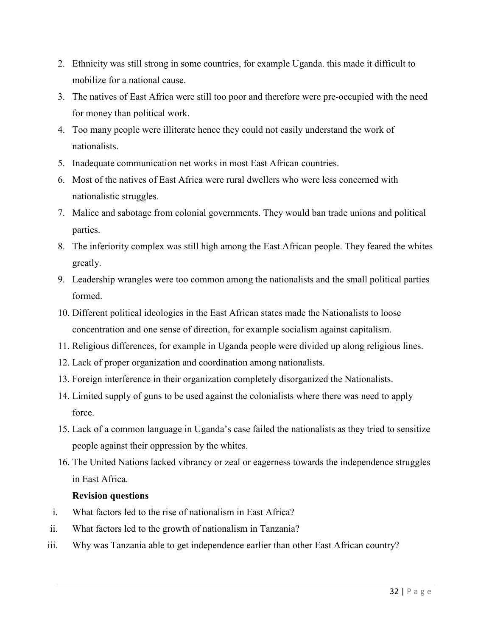- 2. Ethnicity was still strong in some countries, for example Uganda. this made it difficult to mobilize for a national cause.
- 3. The natives of East Africa were still too poor and therefore were pre-occupied with the need for money than political work.
- 4. Too many people were illiterate hence they could not easily understand the work of nationalists.
- 5. Inadequate communication net works in most East African countries.
- 6. Most of the natives of East Africa were rural dwellers who were less concerned with nationalistic struggles.
- 7. Malice and sabotage from colonial governments. They would ban trade unions and political parties.
- 8. The inferiority complex was still high among the East African people. They feared the whites greatly.
- 9. Leadership wrangles were too common among the nationalists and the small political parties formed.
- 10. Different political ideologies in the East African states made the Nationalists to loose concentration and one sense of direction, for example socialism against capitalism.
- 11. Religious differences, for example in Uganda people were divided up along religious lines.
- 12. Lack of proper organization and coordination among nationalists.
- 13. Foreign interference in their organization completely disorganized the Nationalists.
- 14. Limited supply of guns to be used against the colonialists where there was need to apply force.
- 15. Lack of a common language in Uganda's case failed the nationalists as they tried to sensitize people against their oppression by the whites.
- 16. The United Nations lacked vibrancy or zeal or eagerness towards the independence struggles in East Africa.

### **Revision questions**

- i. What factors led to the rise of nationalism in East Africa?
- ii. What factors led to the growth of nationalism in Tanzania?
- iii. Why was Tanzania able to get independence earlier than other East African country?